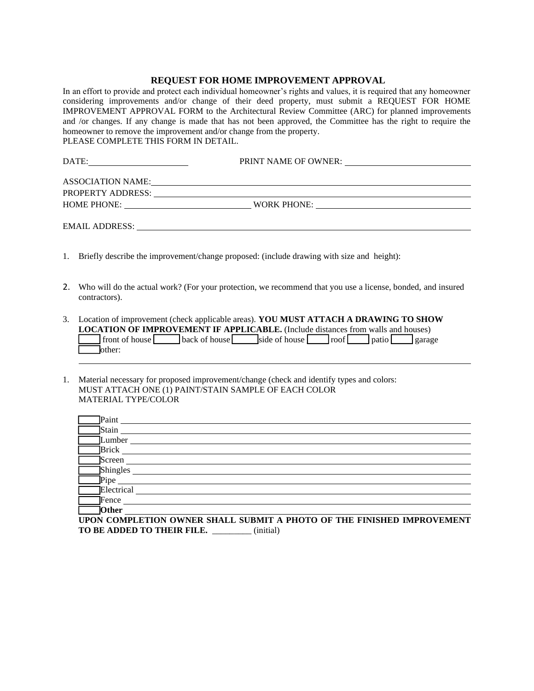## **REQUEST FOR HOME IMPROVEMENT APPROVAL**

In an effort to provide and protect each individual homeowner's rights and values, it is required that any homeowner considering improvements and/or change of their deed property, must submit a REQUEST FOR HOME IMPROVEMENT APPROVAL FORM to the Architectural Review Committee (ARC) for planned improvements and /or changes. If any change is made that has not been approved, the Committee has the right to require the homeowner to remove the improvement and/or change from the property. PLEASE COMPLETE THIS FORM IN DETAIL.

| DATE:             | PRINT NAME OF OWNER:                                                                                                                                                                                                           |  |
|-------------------|--------------------------------------------------------------------------------------------------------------------------------------------------------------------------------------------------------------------------------|--|
| ASSOCIATION NAME: | <u> 1989 - Johann Stoff, deutscher Stoff, der Stoff, der Stoff, der Stoff, der Stoff, der Stoff, der Stoff, der S</u>                                                                                                          |  |
|                   | PROPERTY ADDRESS: University of the contract of the contract of the contract of the contract of the contract of the contract of the contract of the contract of the contract of the contract of the contract of the contract o |  |
|                   | <b>WORK PHONE:</b><br><u> 1980 - Jan Stein Berlin, amerikan besteht in de staat fan de Amerikaanske kommen.</u>                                                                                                                |  |
|                   |                                                                                                                                                                                                                                |  |

EMAIL ADDRESS: University of the set of the set of the set of the set of the set of the set of the set of the set of the set of the set of the set of the set of the set of the set of the set of the set of the set of the se

- 1. Briefly describe the improvement/change proposed: (include drawing with size and height):
- 2. Who will do the actual work? (For your protection, we recommend that you use a license, bonded, and insured contractors).
- 3. Location of improvement (check applicable areas). **YOU MUST ATTACH A DRAWING TO SHOW LOCATION OF IMPROVEMENT IF APPLICABLE.** (Include distances from walls and houses)  $\Box$  front of house  $\Box$  back of house  $\Box$  side of house  $\Box$  roof  $\Box$  patio garage Tother:
- 1. Material necessary for proposed improvement/change (check and identify types and colors: MUST ATTACH ONE (1) PAINT/STAIN SAMPLE OF EACH COLOR MATERIAL TYPE/COLOR

| Paint        |  |
|--------------|--|
| Stain        |  |
| Lumber       |  |
| <b>Brick</b> |  |
| Screen       |  |
| Shingles     |  |
| Pipe         |  |
| Electrical   |  |
| Fence        |  |
| <b>Other</b> |  |

**UPON COMPLETION OWNER SHALL SUBMIT A PHOTO OF THE FINISHED IMPROVEMENT TO BE ADDED TO THEIR FILE.** \_\_\_\_\_\_\_\_\_ (initial)